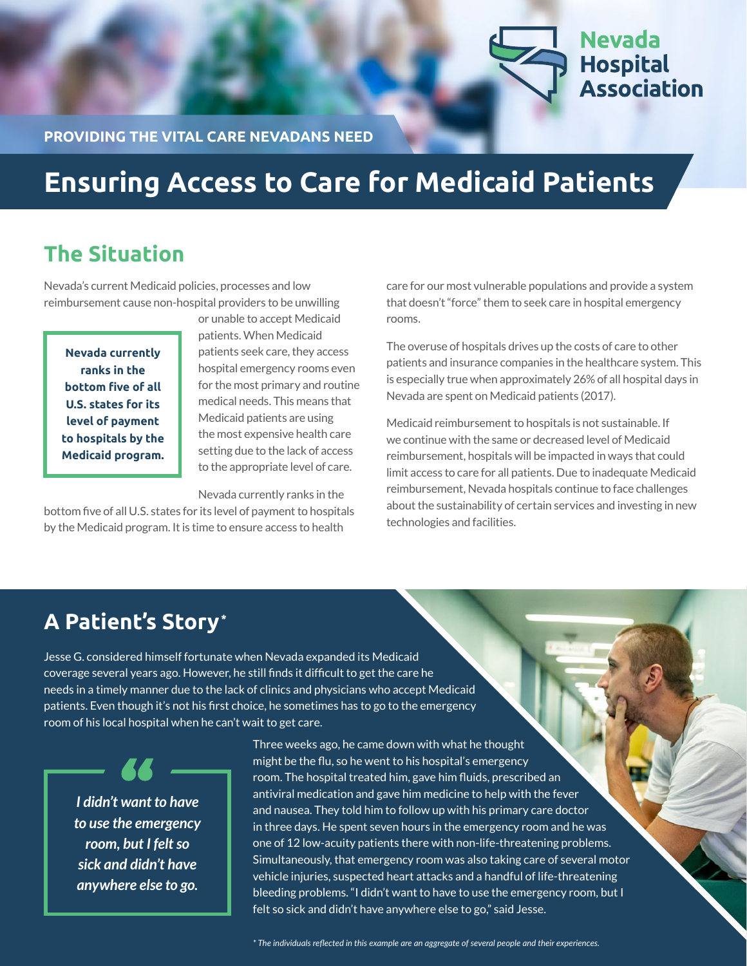

**PROVIDING THE VITAL CARE NEVADANS NEED**

# **Ensuring Access to Care for Medicaid Patients**

### **The Situation**

Nevada's current Medicaid policies, processes and low reimbursement cause non-hospital providers to be unwilling

**Nevada currently ranks in the bottom five of all U.S. states for its level of payment to hospitals by the Medicaid program.** or unable to accept Medicaid patients. When Medicaid patients seek care, they access hospital emergency rooms even for the most primary and routine medical needs. This means that Medicaid patients are using the most expensive health care setting due to the lack of access to the appropriate level of care.

Nevada currently ranks in the

bottom five of all U.S. states for its level of payment to hospitals by the Medicaid program. It is time to ensure access to health

care for our most vulnerable populations and provide a system that doesn't "force" them to seek care in hospital emergency rooms.

The overuse of hospitals drives up the costs of care to other patients and insurance companies in the healthcare system. This is especially true when approximately 26% of all hospital days in Nevada are spent on Medicaid patients (2017).

Medicaid reimbursement to hospitals is not sustainable. If we continue with the same or decreased level of Medicaid reimbursement, hospitals will be impacted in ways that could limit access to care for all patients. Due to inadequate Medicaid reimbursement, Nevada hospitals continue to face challenges about the sustainability of certain services and investing in new technologies and facilities.

### **A Patient's Story\***

Jesse G. considered himself fortunate when Nevada expanded its Medicaid coverage several years ago. However, he still finds it difficult to get the care he needs in a timely manner due to the lack of clinics and physicians who accept Medicaid patients. Even though it's not his first choice, he sometimes has to go to the emergency room of his local hospital when he can't wait to get care.

*I didn't want to have to use the emergency room, but I felt so sick and didn't have anywhere else to go.*

Three weeks ago, he came down with what he thought might be the flu, so he went to his hospital's emergency room. The hospital treated him, gave him fluids, prescribed an antiviral medication and gave him medicine to help with the fever and nausea. They told him to follow up with his primary care doctor in three days. He spent seven hours in the emergency room and he was one of 12 low-acuity patients there with non-life-threatening problems. Simultaneously, that emergency room was also taking care of several motor vehicle injuries, suspected heart attacks and a handful of life-threatening bleeding problems. "I didn't want to have to use the emergency room, but I felt so sick and didn't have anywhere else to go," said Jesse.